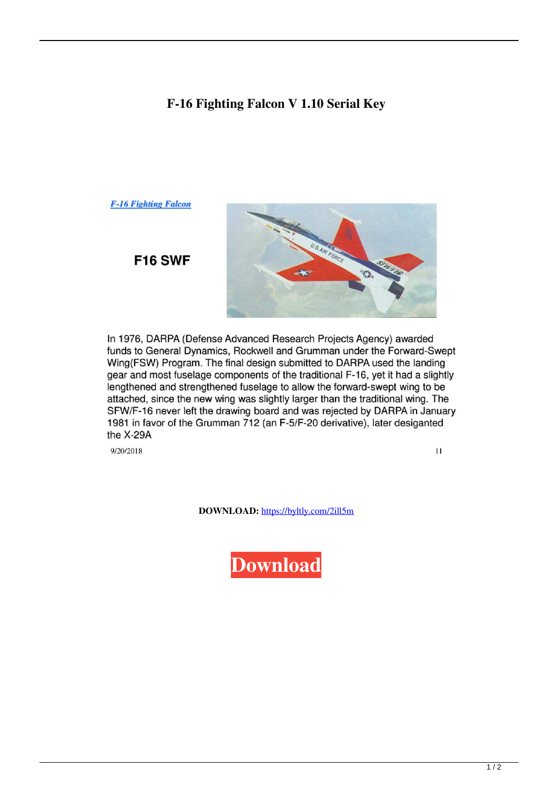## **F-16 Fighting Falcon V 1.10 Serial Key**

## **F-16 Fighting Falcon**



**F16 SWF** 

In 1976, DARPA (Defense Advanced Research Projects Agency) awarded funds to General Dynamics, Rockwell and Grumman under the Forward-Swept Wing(FSW) Program. The final design submitted to DARPA used the landing gear and most fuselage components of the traditional F-16, yet it had a slightly lengthened and strengthened fuselage to allow the forward-swept wing to be attached, since the new wing was slightly larger than the traditional wing. The SFW/F-16 never left the drawing board and was rejected by DARPA in January 1981 in favor of the Grumman 712 (an F-5/F-20 derivative), later desiganted the X-29A

9/20/2018

 $11$ 

**DOWNLOAD:** <https://byltly.com/2ill5m>

**[Download](https://byltly.com/2ill5m)**